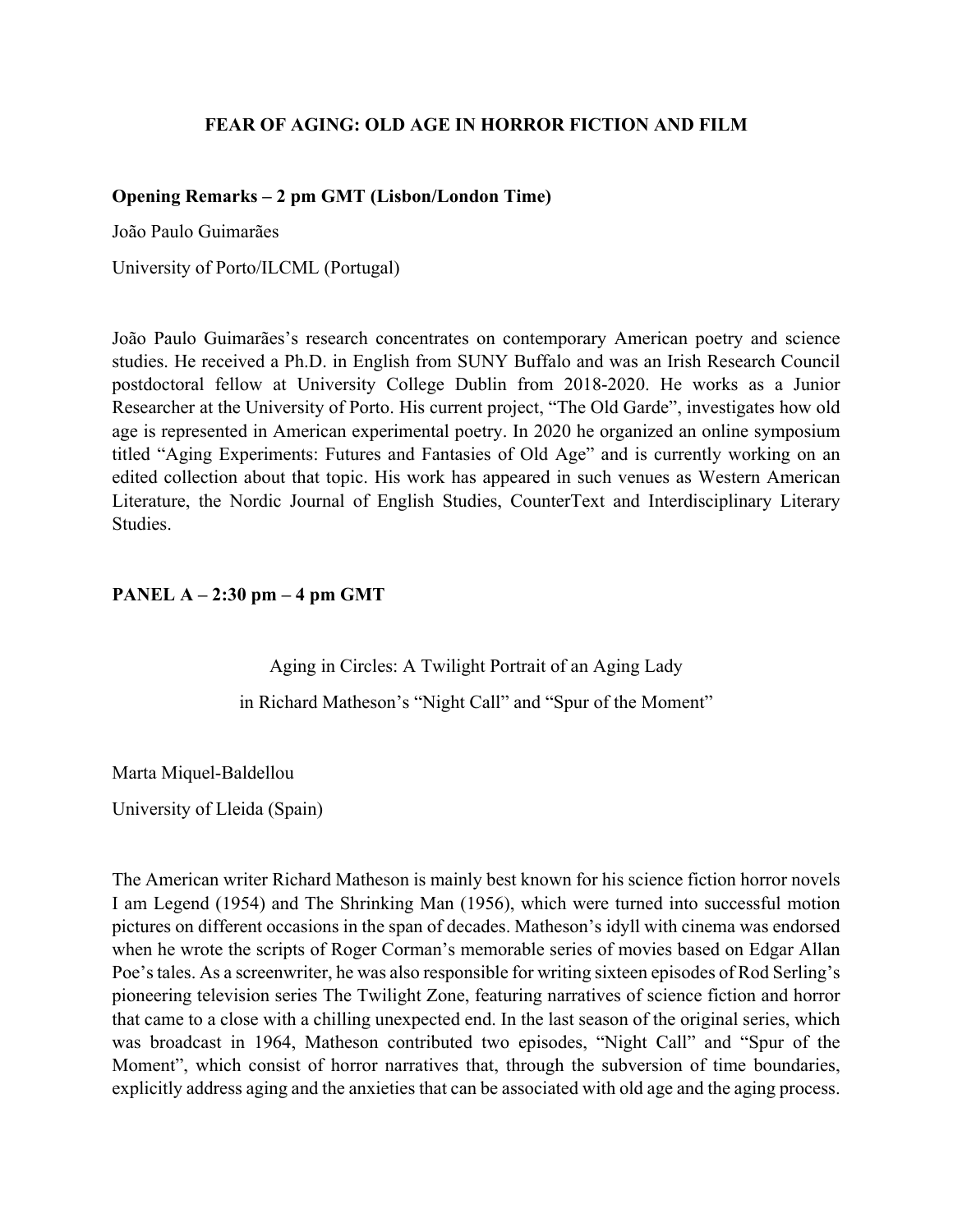## **FEAR OF AGING: OLD AGE IN HORROR FICTION AND FILM**

### **Opening Remarks – 2 pm GMT (Lisbon/London Time)**

João Paulo Guimarães

University of Porto/ILCML (Portugal)

João Paulo Guimarães's research concentrates on contemporary American poetry and science studies. He received a Ph.D. in English from SUNY Buffalo and was an Irish Research Council postdoctoral fellow at University College Dublin from 2018-2020. He works as a Junior Researcher at the University of Porto. His current project, "The Old Garde", investigates how old age is represented in American experimental poetry. In 2020 he organized an online symposium titled "Aging Experiments: Futures and Fantasies of Old Age" and is currently working on an edited collection about that topic. His work has appeared in such venues as Western American Literature, the Nordic Journal of English Studies, CounterText and Interdisciplinary Literary Studies.

### **PANEL A – 2:30 pm – 4 pm GMT**

Aging in Circles: A Twilight Portrait of an Aging Lady

in Richard Matheson's "Night Call" and "Spur of the Moment"

Marta Miquel-Baldellou

University of Lleida (Spain)

The American writer Richard Matheson is mainly best known for his science fiction horror novels I am Legend (1954) and The Shrinking Man (1956), which were turned into successful motion pictures on different occasions in the span of decades. Matheson's idyll with cinema was endorsed when he wrote the scripts of Roger Corman's memorable series of movies based on Edgar Allan Poe's tales. As a screenwriter, he was also responsible for writing sixteen episodes of Rod Serling's pioneering television series The Twilight Zone, featuring narratives of science fiction and horror that came to a close with a chilling unexpected end. In the last season of the original series, which was broadcast in 1964, Matheson contributed two episodes, "Night Call" and "Spur of the Moment", which consist of horror narratives that, through the subversion of time boundaries, explicitly address aging and the anxieties that can be associated with old age and the aging process.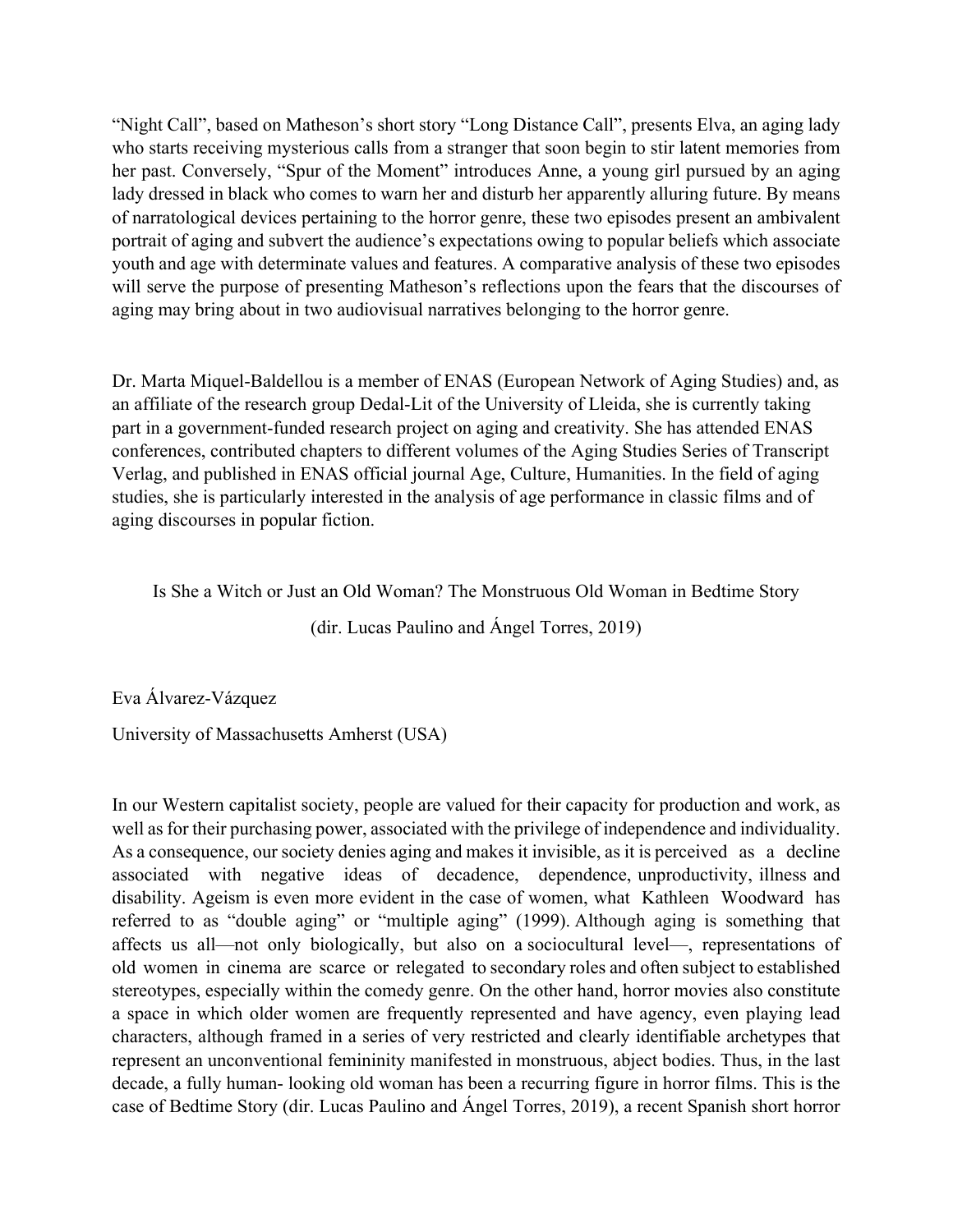"Night Call", based on Matheson's short story "Long Distance Call", presents Elva, an aging lady who starts receiving mysterious calls from a stranger that soon begin to stir latent memories from her past. Conversely, "Spur of the Moment" introduces Anne, a young girl pursued by an aging lady dressed in black who comes to warn her and disturb her apparently alluring future. By means of narratological devices pertaining to the horror genre, these two episodes present an ambivalent portrait of aging and subvert the audience's expectations owing to popular beliefs which associate youth and age with determinate values and features. A comparative analysis of these two episodes will serve the purpose of presenting Matheson's reflections upon the fears that the discourses of aging may bring about in two audiovisual narratives belonging to the horror genre.

Dr. Marta Miquel-Baldellou is a member of ENAS (European Network of Aging Studies) and, as an affiliate of the research group Dedal-Lit of the University of Lleida, she is currently taking part in a government-funded research project on aging and creativity. She has attended ENAS conferences, contributed chapters to different volumes of the Aging Studies Series of Transcript Verlag, and published in ENAS official journal Age, Culture, Humanities. In the field of aging studies, she is particularly interested in the analysis of age performance in classic films and of aging discourses in popular fiction.

Is She a Witch or Just an Old Woman? The Monstruous Old Woman in Bedtime Story

(dir. Lucas Paulino and Ángel Torres, 2019)

Eva Álvarez-Vázquez

University of Massachusetts Amherst (USA)

In our Western capitalist society, people are valued for their capacity for production and work, as well as for their purchasing power, associated with the privilege of independence and individuality. As a consequence, our society denies aging and makes it invisible, as it is perceived as a decline associated with negative ideas of decadence, dependence, unproductivity, illness and disability. Ageism is even more evident in the case of women, what Kathleen Woodward has referred to as "double aging" or "multiple aging" (1999). Although aging is something that affects us all—not only biologically, but also on a sociocultural level—, representations of old women in cinema are scarce or relegated to secondary roles and often subject to established stereotypes, especially within the comedy genre. On the other hand, horror movies also constitute a space in which older women are frequently represented and have agency, even playing lead characters, although framed in a series of very restricted and clearly identifiable archetypes that represent an unconventional femininity manifested in monstruous, abject bodies. Thus, in the last decade, a fully human- looking old woman has been a recurring figure in horror films. This is the case of Bedtime Story (dir. Lucas Paulino and Ángel Torres, 2019), a recent Spanish short horror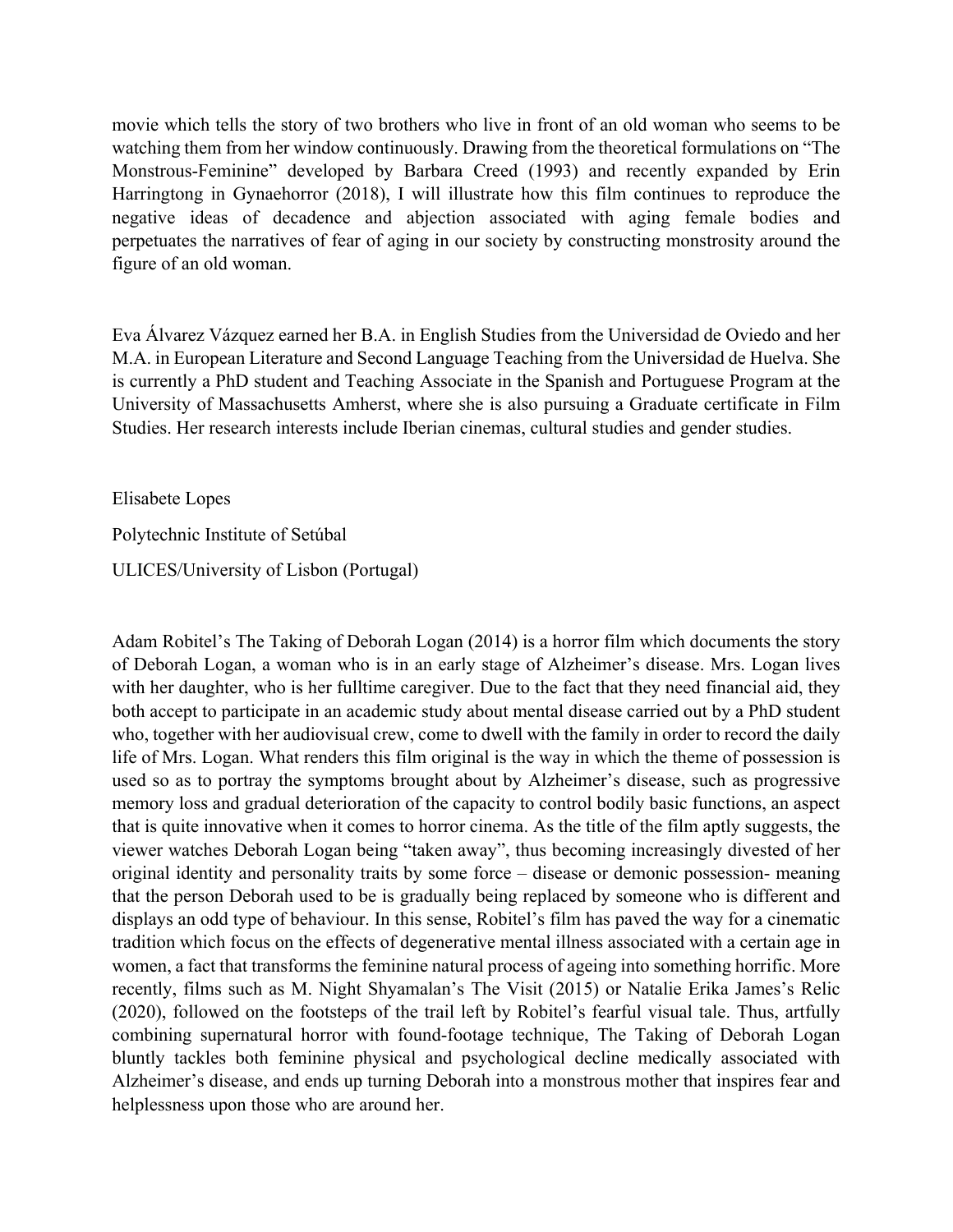movie which tells the story of two brothers who live in front of an old woman who seems to be watching them from her window continuously. Drawing from the theoretical formulations on "The Monstrous-Feminine" developed by Barbara Creed (1993) and recently expanded by Erin Harringtong in Gynaehorror (2018), I will illustrate how this film continues to reproduce the negative ideas of decadence and abjection associated with aging female bodies and perpetuates the narratives of fear of aging in our society by constructing monstrosity around the figure of an old woman.

Eva Álvarez Vázquez earned her B.A. in English Studies from the Universidad de Oviedo and her M.A. in European Literature and Second Language Teaching from the Universidad de Huelva. She is currently a PhD student and Teaching Associate in the Spanish and Portuguese Program at the University of Massachusetts Amherst, where she is also pursuing a Graduate certificate in Film Studies. Her research interests include Iberian cinemas, cultural studies and gender studies.

Elisabete Lopes

Polytechnic Institute of Setúbal

ULICES/University of Lisbon (Portugal)

Adam Robitel's The Taking of Deborah Logan (2014) is a horror film which documents the story of Deborah Logan, a woman who is in an early stage of Alzheimer's disease. Mrs. Logan lives with her daughter, who is her fulltime caregiver. Due to the fact that they need financial aid, they both accept to participate in an academic study about mental disease carried out by a PhD student who, together with her audiovisual crew, come to dwell with the family in order to record the daily life of Mrs. Logan. What renders this film original is the way in which the theme of possession is used so as to portray the symptoms brought about by Alzheimer's disease, such as progressive memory loss and gradual deterioration of the capacity to control bodily basic functions, an aspect that is quite innovative when it comes to horror cinema. As the title of the film aptly suggests, the viewer watches Deborah Logan being "taken away", thus becoming increasingly divested of her original identity and personality traits by some force – disease or demonic possession- meaning that the person Deborah used to be is gradually being replaced by someone who is different and displays an odd type of behaviour. In this sense, Robitel's film has paved the way for a cinematic tradition which focus on the effects of degenerative mental illness associated with a certain age in women, a fact that transforms the feminine natural process of ageing into something horrific. More recently, films such as M. Night Shyamalan's The Visit (2015) or Natalie Erika James's Relic (2020), followed on the footsteps of the trail left by Robitel's fearful visual tale. Thus, artfully combining supernatural horror with found-footage technique, The Taking of Deborah Logan bluntly tackles both feminine physical and psychological decline medically associated with Alzheimer's disease, and ends up turning Deborah into a monstrous mother that inspires fear and helplessness upon those who are around her.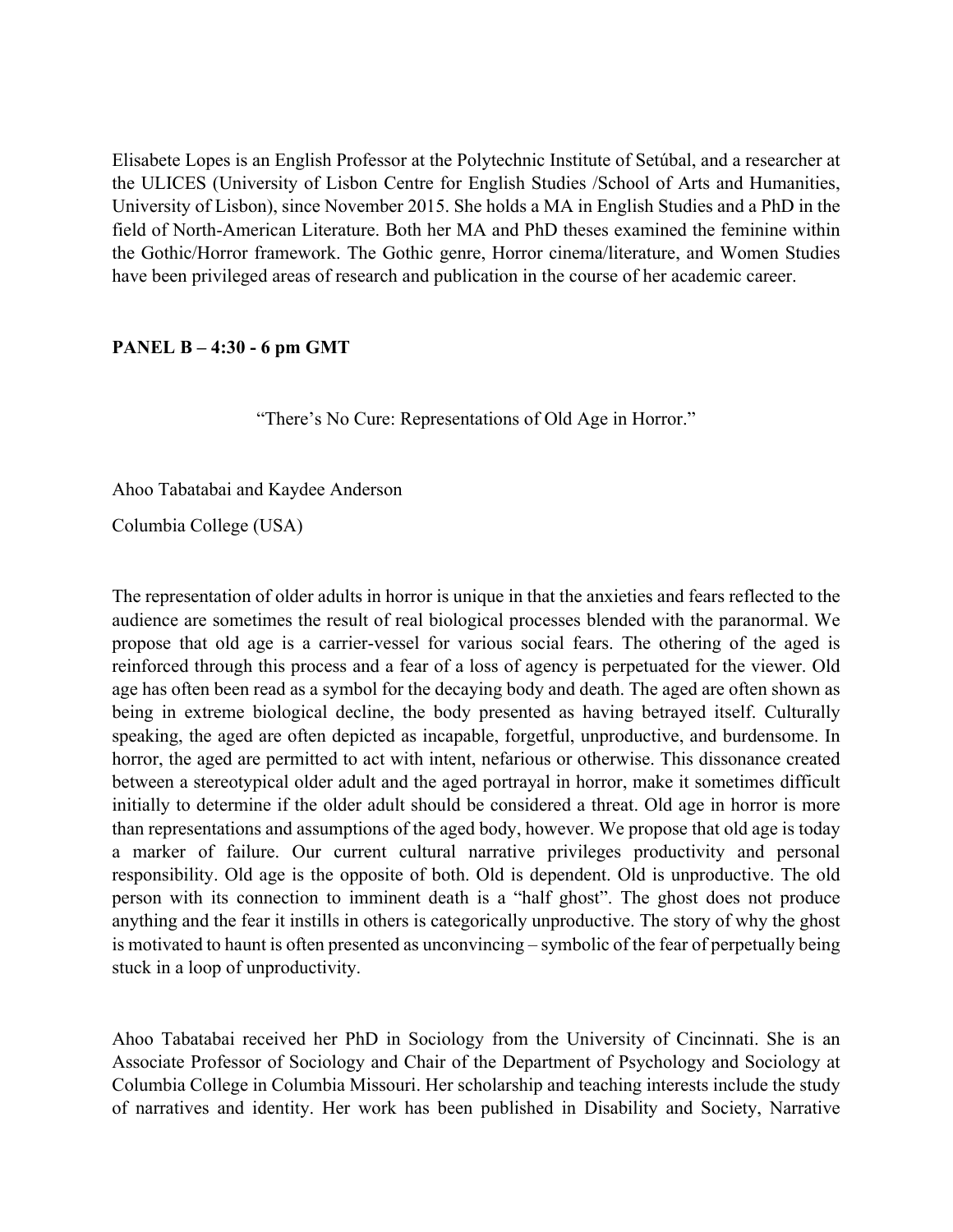Elisabete Lopes is an English Professor at the Polytechnic Institute of Setúbal, and a researcher at the ULICES (University of Lisbon Centre for English Studies /School of Arts and Humanities, University of Lisbon), since November 2015. She holds a MA in English Studies and a PhD in the field of North-American Literature. Both her MA and PhD theses examined the feminine within the Gothic/Horror framework. The Gothic genre, Horror cinema/literature, and Women Studies have been privileged areas of research and publication in the course of her academic career.

### **PANEL B – 4:30 - 6 pm GMT**

"There's No Cure: Representations of Old Age in Horror."

Ahoo Tabatabai and Kaydee Anderson

Columbia College (USA)

The representation of older adults in horror is unique in that the anxieties and fears reflected to the audience are sometimes the result of real biological processes blended with the paranormal. We propose that old age is a carrier-vessel for various social fears. The othering of the aged is reinforced through this process and a fear of a loss of agency is perpetuated for the viewer. Old age has often been read as a symbol for the decaying body and death. The aged are often shown as being in extreme biological decline, the body presented as having betrayed itself. Culturally speaking, the aged are often depicted as incapable, forgetful, unproductive, and burdensome. In horror, the aged are permitted to act with intent, nefarious or otherwise. This dissonance created between a stereotypical older adult and the aged portrayal in horror, make it sometimes difficult initially to determine if the older adult should be considered a threat. Old age in horror is more than representations and assumptions of the aged body, however. We propose that old age is today a marker of failure. Our current cultural narrative privileges productivity and personal responsibility. Old age is the opposite of both. Old is dependent. Old is unproductive. The old person with its connection to imminent death is a "half ghost". The ghost does not produce anything and the fear it instills in others is categorically unproductive. The story of why the ghost is motivated to haunt is often presented as unconvincing – symbolic of the fear of perpetually being stuck in a loop of unproductivity.

Ahoo Tabatabai received her PhD in Sociology from the University of Cincinnati. She is an Associate Professor of Sociology and Chair of the Department of Psychology and Sociology at Columbia College in Columbia Missouri. Her scholarship and teaching interests include the study of narratives and identity. Her work has been published in Disability and Society, Narrative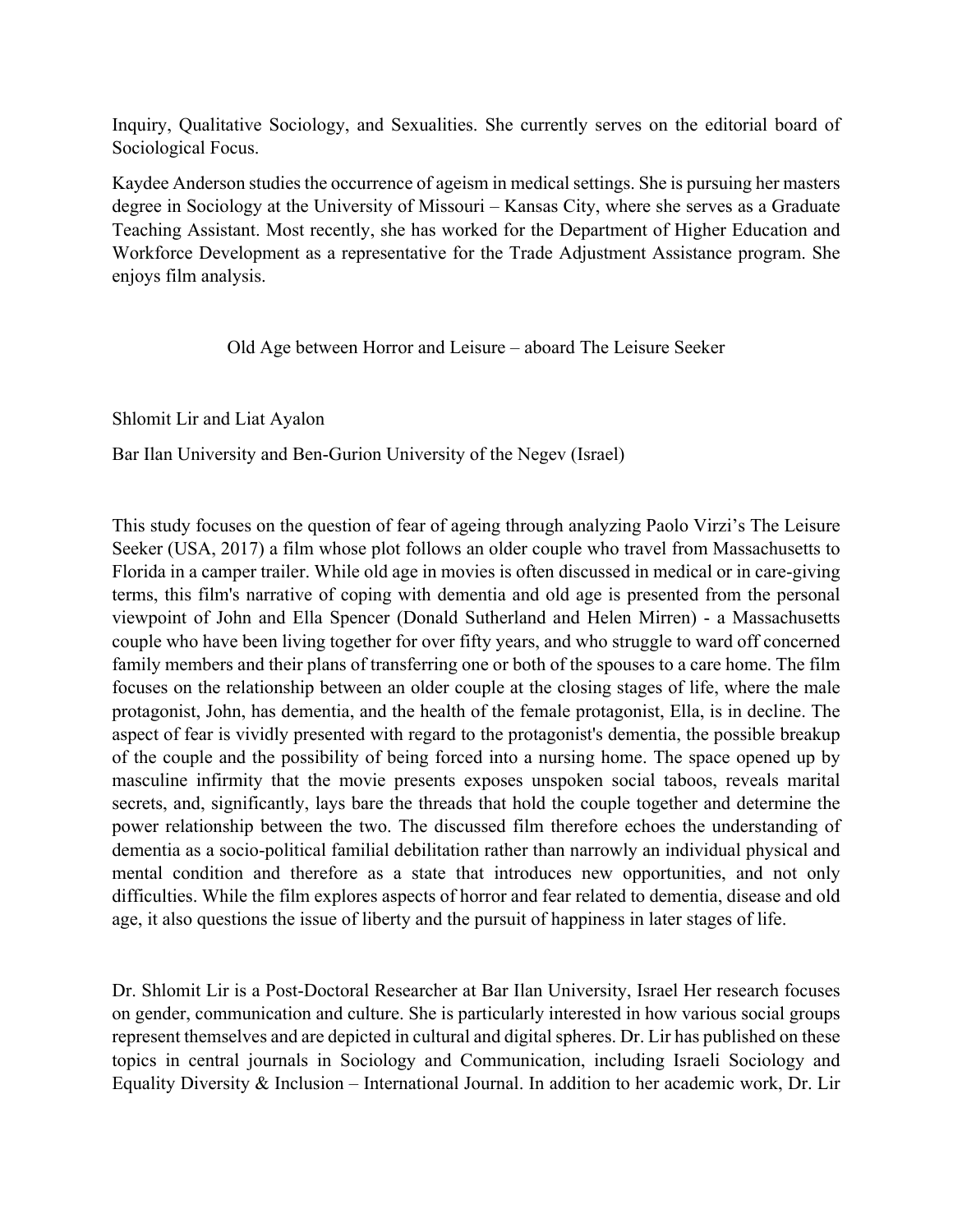Inquiry, Qualitative Sociology, and Sexualities. She currently serves on the editorial board of Sociological Focus.

Kaydee Anderson studies the occurrence of ageism in medical settings. She is pursuing her masters degree in Sociology at the University of Missouri – Kansas City, where she serves as a Graduate Teaching Assistant. Most recently, she has worked for the Department of Higher Education and Workforce Development as a representative for the Trade Adjustment Assistance program. She enjoys film analysis.

Old Age between Horror and Leisure – aboard The Leisure Seeker

Shlomit Lir and Liat Ayalon

Bar Ilan University and Ben-Gurion University of the Negev (Israel)

This study focuses on the question of fear of ageing through analyzing Paolo Virzi's The Leisure Seeker (USA, 2017) a film whose plot follows an older couple who travel from Massachusetts to Florida in a camper trailer. While old age in movies is often discussed in medical or in care-giving terms, this film's narrative of coping with dementia and old age is presented from the personal viewpoint of John and Ella Spencer (Donald Sutherland and Helen Mirren) - a Massachusetts couple who have been living together for over fifty years, and who struggle to ward off concerned family members and their plans of transferring one or both of the spouses to a care home. The film focuses on the relationship between an older couple at the closing stages of life, where the male protagonist, John, has dementia, and the health of the female protagonist, Ella, is in decline. The aspect of fear is vividly presented with regard to the protagonist's dementia, the possible breakup of the couple and the possibility of being forced into a nursing home. The space opened up by masculine infirmity that the movie presents exposes unspoken social taboos, reveals marital secrets, and, significantly, lays bare the threads that hold the couple together and determine the power relationship between the two. The discussed film therefore echoes the understanding of dementia as a socio-political familial debilitation rather than narrowly an individual physical and mental condition and therefore as a state that introduces new opportunities, and not only difficulties. While the film explores aspects of horror and fear related to dementia, disease and old age, it also questions the issue of liberty and the pursuit of happiness in later stages of life.

Dr. Shlomit Lir is a Post-Doctoral Researcher at Bar Ilan University, Israel Her research focuses on gender, communication and culture. She is particularly interested in how various social groups represent themselves and are depicted in cultural and digital spheres. Dr. Lir has published on these topics in central journals in Sociology and Communication, including Israeli Sociology and Equality Diversity & Inclusion – International Journal. In addition to her academic work, Dr. Lir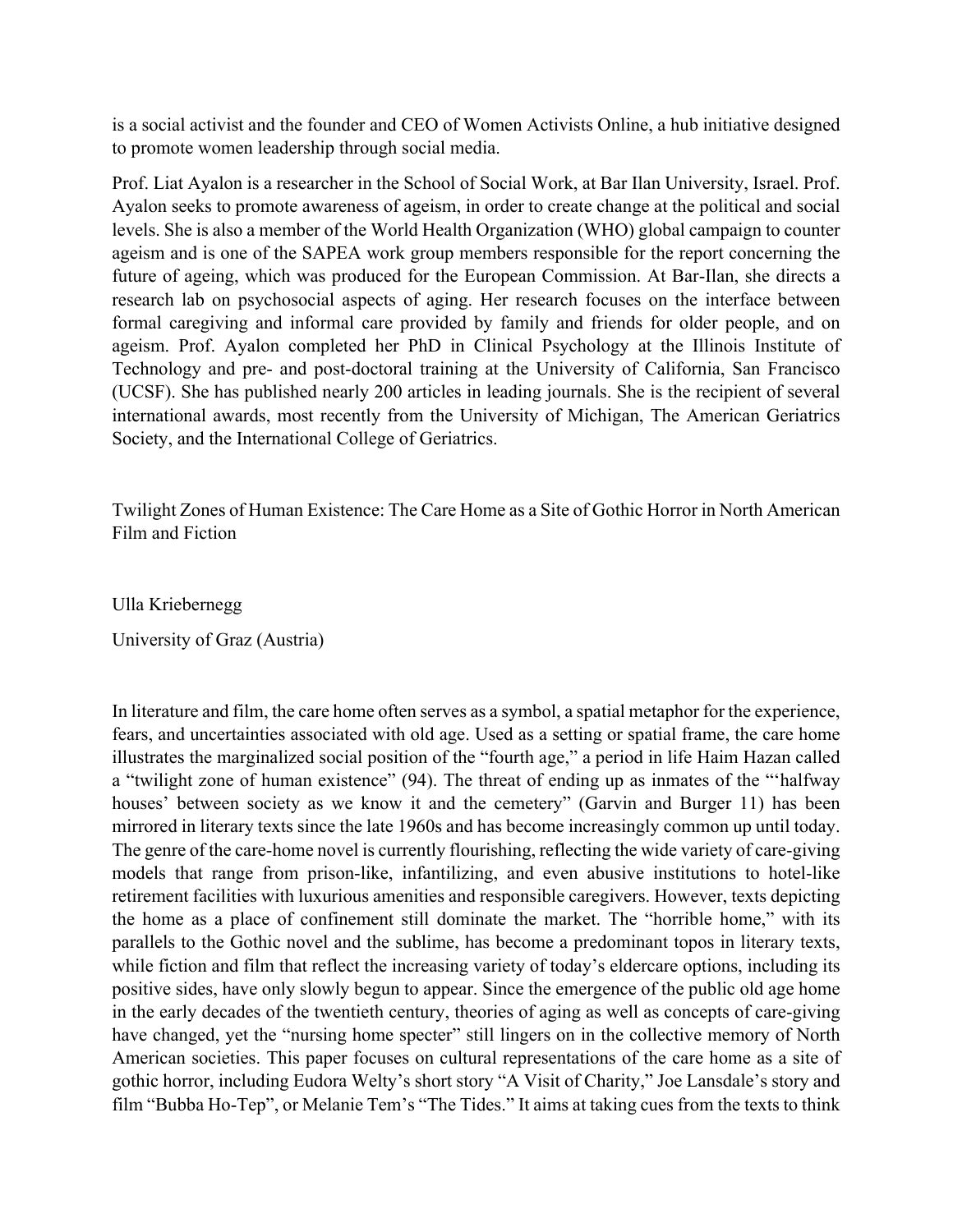is a social activist and the founder and CEO of Women Activists Online, a hub initiative designed to promote women leadership through social media.

Prof. Liat Ayalon is a researcher in the School of Social Work, at Bar Ilan University, Israel. Prof. Ayalon seeks to promote awareness of ageism, in order to create change at the political and social levels. She is also a member of the World Health Organization (WHO) global campaign to counter ageism and is one of the SAPEA work group members responsible for the report concerning the future of ageing, which was produced for the European Commission. At Bar-Ilan, she directs a research lab on psychosocial aspects of aging. Her research focuses on the interface between formal caregiving and informal care provided by family and friends for older people, and on ageism. Prof. Ayalon completed her PhD in Clinical Psychology at the Illinois Institute of Technology and pre- and post-doctoral training at the University of California, San Francisco (UCSF). She has published nearly 200 articles in leading journals. She is the recipient of several international awards, most recently from the University of Michigan, The American Geriatrics Society, and the International College of Geriatrics.

Twilight Zones of Human Existence: The Care Home as a Site of Gothic Horror in North American Film and Fiction

Ulla Kriebernegg

University of Graz (Austria)

In literature and film, the care home often serves as a symbol, a spatial metaphor for the experience, fears, and uncertainties associated with old age. Used as a setting or spatial frame, the care home illustrates the marginalized social position of the "fourth age," a period in life Haim Hazan called a "twilight zone of human existence" (94). The threat of ending up as inmates of the "'halfway houses' between society as we know it and the cemetery" (Garvin and Burger 11) has been mirrored in literary texts since the late 1960s and has become increasingly common up until today. The genre of the care-home novel is currently flourishing, reflecting the wide variety of care-giving models that range from prison-like, infantilizing, and even abusive institutions to hotel-like retirement facilities with luxurious amenities and responsible caregivers. However, texts depicting the home as a place of confinement still dominate the market. The "horrible home," with its parallels to the Gothic novel and the sublime, has become a predominant topos in literary texts, while fiction and film that reflect the increasing variety of today's eldercare options, including its positive sides, have only slowly begun to appear. Since the emergence of the public old age home in the early decades of the twentieth century, theories of aging as well as concepts of care-giving have changed, yet the "nursing home specter" still lingers on in the collective memory of North American societies. This paper focuses on cultural representations of the care home as a site of gothic horror, including Eudora Welty's short story "A Visit of Charity," Joe Lansdale's story and film "Bubba Ho-Tep", or Melanie Tem's "The Tides." It aims at taking cues from the texts to think